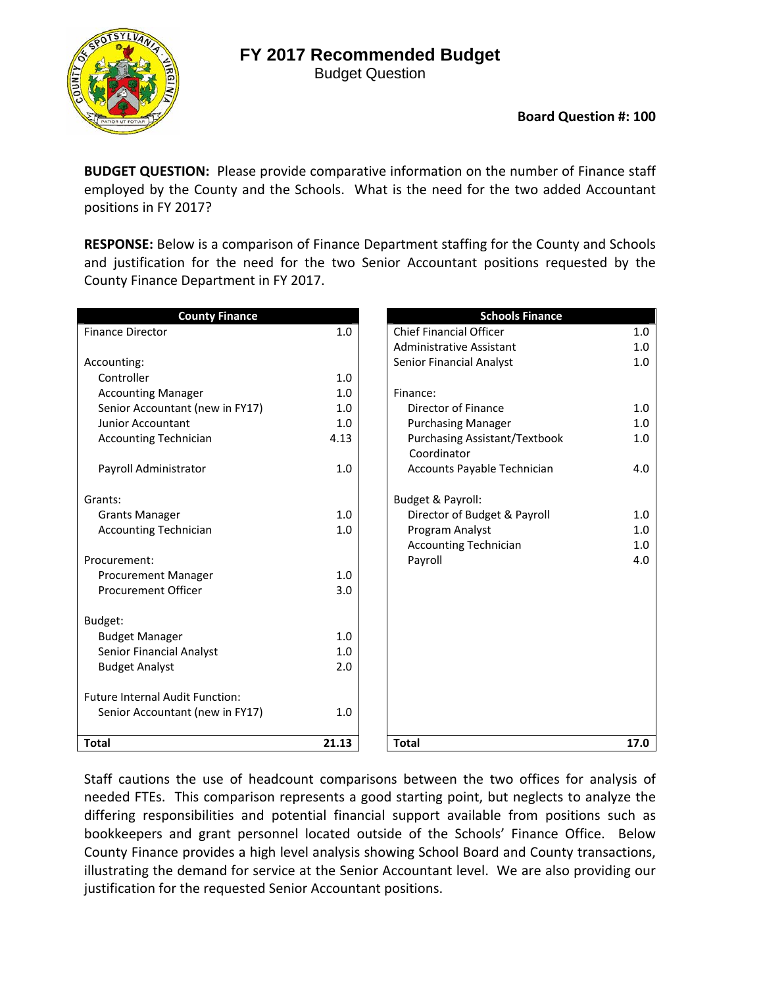Budget Question



**BUDGET QUESTION:** Please provide comparative information on the number of Finance staff employed by the County and the Schools. What is the need for the two added Accountant positions in FY 2017?

**RESPONSE:** Below is a comparison of Finance Department staffing for the County and Schools and justification for the need for the two Senior Accountant positions requested by the County Finance Department in FY 2017.

| <b>County Finance</b>                  |       | <b>Schools Finance</b>                                     |
|----------------------------------------|-------|------------------------------------------------------------|
| <b>Finance Director</b>                | 1.0   | <b>Chief Financial Officer</b><br>1.0                      |
|                                        |       | Administrative Assistant<br>1.0                            |
| Accounting:                            |       | 1.0<br>Senior Financial Analyst                            |
| Controller                             | 1.0   |                                                            |
| <b>Accounting Manager</b>              | 1.0   | Finance:                                                   |
| Senior Accountant (new in FY17)        | 1.0   | Director of Finance<br>1.0                                 |
| <b>Junior Accountant</b>               | 1.0   | <b>Purchasing Manager</b><br>1.0                           |
| <b>Accounting Technician</b>           | 4.13  | <b>Purchasing Assistant/Textbook</b><br>1.0<br>Coordinator |
| Payroll Administrator                  | 1.0   | Accounts Payable Technician<br>4.0                         |
| Grants:                                |       | Budget & Payroll:                                          |
| <b>Grants Manager</b>                  | 1.0   | Director of Budget & Payroll<br>1.0                        |
| <b>Accounting Technician</b>           | 1.0   | Program Analyst<br>1.0                                     |
|                                        |       | <b>Accounting Technician</b><br>1.0                        |
| Procurement:                           |       | Payroll<br>4.0                                             |
| Procurement Manager                    | 1.0   |                                                            |
| <b>Procurement Officer</b>             | 3.0   |                                                            |
| Budget:                                |       |                                                            |
| <b>Budget Manager</b>                  | 1.0   |                                                            |
| <b>Senior Financial Analyst</b>        | 1.0   |                                                            |
| <b>Budget Analyst</b>                  | 2.0   |                                                            |
| <b>Future Internal Audit Function:</b> |       |                                                            |
| Senior Accountant (new in FY17)        | 1.0   |                                                            |
| <b>Total</b>                           | 21.13 | <b>Total</b><br>17.0                                       |

Staff cautions the use of headcount comparisons between the two offices for analysis of needed FTEs. This comparison represents a good starting point, but neglects to analyze the differing responsibilities and potential financial support available from positions such as bookkeepers and grant personnel located outside of the Schools' Finance Office. Below County Finance provides a high level analysis showing School Board and County transactions, illustrating the demand for service at the Senior Accountant level. We are also providing our justification for the requested Senior Accountant positions.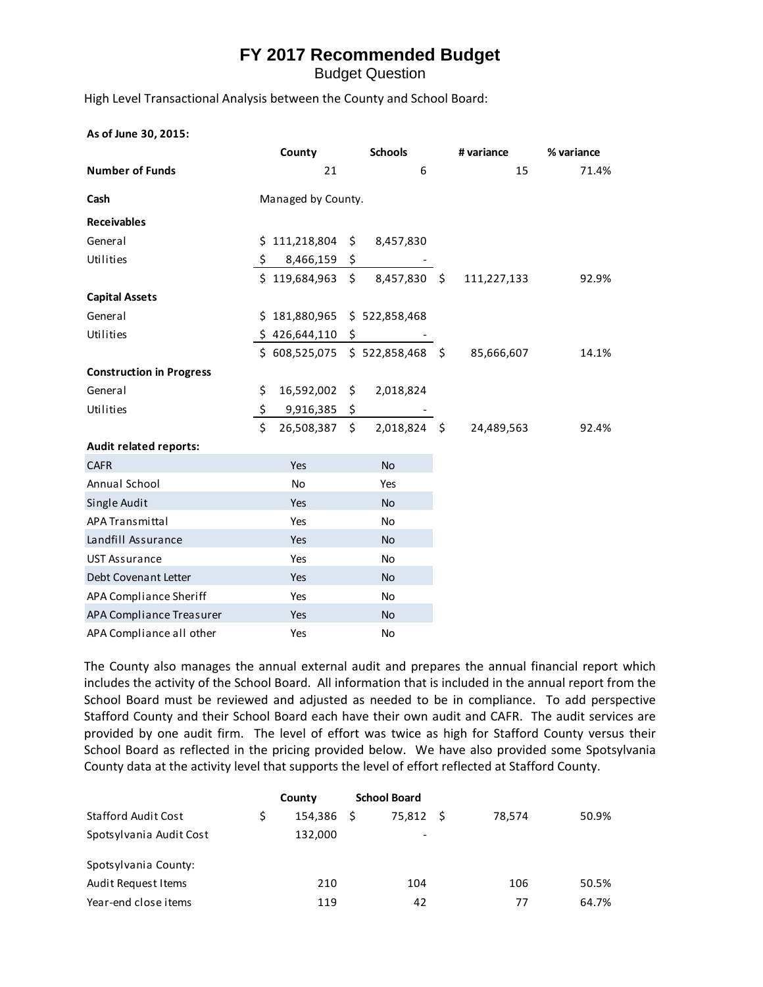Budget Question

High Level Transactional Analysis between the County and School Board:

#### **As of June 30, 2015:**

|                                 | <b>Schools</b><br>County              |  | # variance                     |  | % variance  |       |  |  |
|---------------------------------|---------------------------------------|--|--------------------------------|--|-------------|-------|--|--|
| <b>Number of Funds</b>          | 21                                    |  | 6                              |  | 15          | 71.4% |  |  |
| Cash                            | Managed by County.                    |  |                                |  |             |       |  |  |
| <b>Receivables</b>              |                                       |  |                                |  |             |       |  |  |
| General                         | $$111,218,804$ \$                     |  | 8,457,830                      |  |             |       |  |  |
| Utilities                       | $\ddot{\mathsf{S}}$<br>$8,466,159$ \$ |  |                                |  |             |       |  |  |
|                                 | $$119,684,963$ \$                     |  | 8,457,830 \$                   |  | 111,227,133 | 92.9% |  |  |
| <b>Capital Assets</b>           |                                       |  |                                |  |             |       |  |  |
| General                         | $$181,880,965 \$522,858,468$          |  |                                |  |             |       |  |  |
| Utilities                       | $$426,644,110$ \$                     |  |                                |  |             |       |  |  |
|                                 |                                       |  | \$608,525,075 \$522,858,468 \$ |  | 85,666,607  | 14.1% |  |  |
| <b>Construction in Progress</b> |                                       |  |                                |  |             |       |  |  |
| General                         | \$<br>16,592,002 \$                   |  | 2,018,824                      |  |             |       |  |  |
| Utilities                       | \$<br>9,916,385 \$                    |  |                                |  |             |       |  |  |
|                                 | \$<br>26,508,387 \$                   |  | 2,018,824 \$                   |  | 24,489,563  | 92.4% |  |  |
| Audit related reports:          |                                       |  |                                |  |             |       |  |  |
| <b>CAFR</b>                     | Yes                                   |  | <b>No</b>                      |  |             |       |  |  |
| Annual School                   | <b>No</b>                             |  | Yes                            |  |             |       |  |  |
| Single Audit                    | Yes                                   |  | <b>No</b>                      |  |             |       |  |  |
| <b>APA Transmittal</b>          | Yes                                   |  | <b>No</b>                      |  |             |       |  |  |
| Landfill Assurance              | Yes                                   |  | <b>No</b>                      |  |             |       |  |  |
| <b>UST Assurance</b>            | Yes                                   |  | No                             |  |             |       |  |  |
| Debt Covenant Letter            | Yes                                   |  | <b>No</b>                      |  |             |       |  |  |
| APA Compliance Sheriff          | Yes                                   |  | <b>No</b>                      |  |             |       |  |  |
| APA Compliance Treasurer        | Yes                                   |  | <b>No</b>                      |  |             |       |  |  |
| APA Compliance all other        | Yes                                   |  | <b>No</b>                      |  |             |       |  |  |

The County also manages the annual external audit and prepares the annual financial report which includes the activity of the School Board. All information that is included in the annual report from the School Board must be reviewed and adjusted as needed to be in compliance. To add perspective Stafford County and their School Board each have their own audit and CAFR. The audit services are provided by one audit firm. The level of effort was twice as high for Stafford County versus their School Board as reflected in the pricing provided below. We have also provided some Spotsylvania County data at the activity level that supports the level of effort reflected at Stafford County.

|                            | County  |   | <b>School Board</b> |        |       |
|----------------------------|---------|---|---------------------|--------|-------|
| <b>Stafford Audit Cost</b> | 154.386 | S | 75.812 S            | 78.574 | 50.9% |
| Spotsylvania Audit Cost    | 132,000 |   | ۰                   |        |       |
| Spotsylvania County:       |         |   |                     |        |       |
| Audit Request Items        | 210     |   | 104                 | 106    | 50.5% |
| Year-end close items       | 119     |   | 42                  | 77     | 64.7% |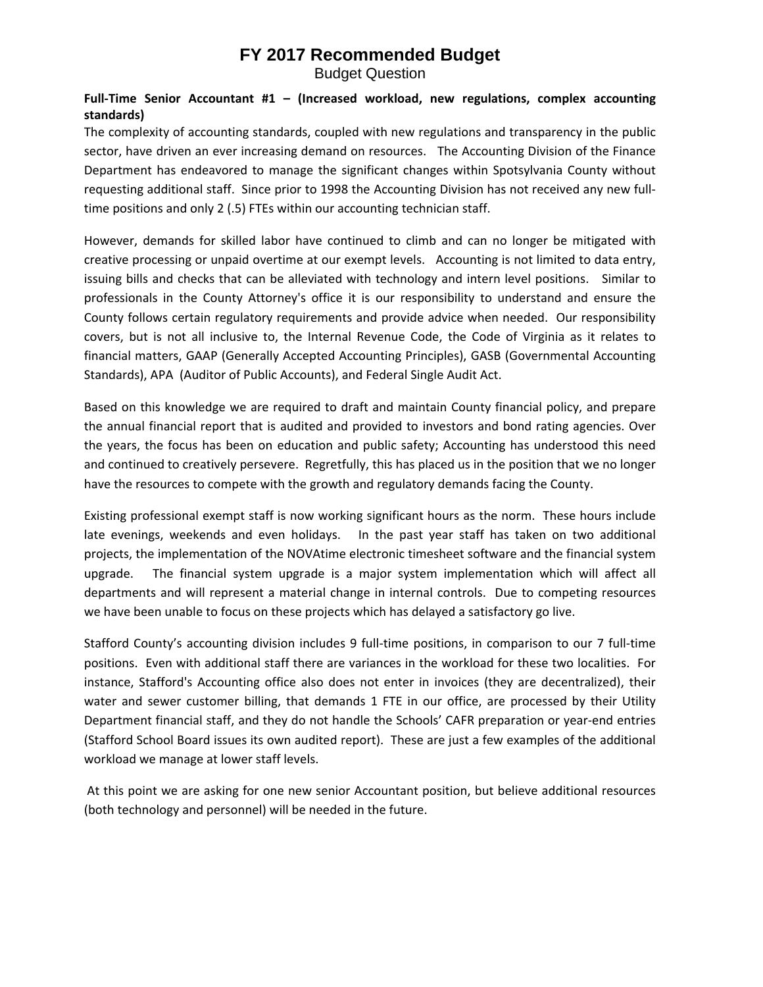Budget Question

#### **Full‐Time Senior Accountant #1 – (Increased workload, new regulations, complex accounting standards)**

The complexity of accounting standards, coupled with new regulations and transparency in the public sector, have driven an ever increasing demand on resources. The Accounting Division of the Finance Department has endeavored to manage the significant changes within Spotsylvania County without requesting additional staff. Since prior to 1998 the Accounting Division has not received any new full‐ time positions and only 2 (.5) FTEs within our accounting technician staff.

However, demands for skilled labor have continued to climb and can no longer be mitigated with creative processing or unpaid overtime at our exempt levels. Accounting is not limited to data entry, issuing bills and checks that can be alleviated with technology and intern level positions. Similar to professionals in the County Attorney's office it is our responsibility to understand and ensure the County follows certain regulatory requirements and provide advice when needed. Our responsibility covers, but is not all inclusive to, the Internal Revenue Code, the Code of Virginia as it relates to financial matters, GAAP (Generally Accepted Accounting Principles), GASB (Governmental Accounting Standards), APA (Auditor of Public Accounts), and Federal Single Audit Act.

Based on this knowledge we are required to draft and maintain County financial policy, and prepare the annual financial report that is audited and provided to investors and bond rating agencies. Over the years, the focus has been on education and public safety; Accounting has understood this need and continued to creatively persevere. Regretfully, this has placed us in the position that we no longer have the resources to compete with the growth and regulatory demands facing the County.

Existing professional exempt staff is now working significant hours as the norm. These hours include late evenings, weekends and even holidays. In the past year staff has taken on two additional projects, the implementation of the NOVAtime electronic timesheet software and the financial system upgrade. The financial system upgrade is a major system implementation which will affect all departments and will represent a material change in internal controls. Due to competing resources we have been unable to focus on these projects which has delayed a satisfactory go live.

Stafford County's accounting division includes 9 full‐time positions, in comparison to our 7 full‐time positions. Even with additional staff there are variances in the workload for these two localities. For instance, Stafford's Accounting office also does not enter in invoices (they are decentralized), their water and sewer customer billing, that demands 1 FTE in our office, are processed by their Utility Department financial staff, and they do not handle the Schools' CAFR preparation or year-end entries (Stafford School Board issues its own audited report). These are just a few examples of the additional workload we manage at lower staff levels.

At this point we are asking for one new senior Accountant position, but believe additional resources (both technology and personnel) will be needed in the future.